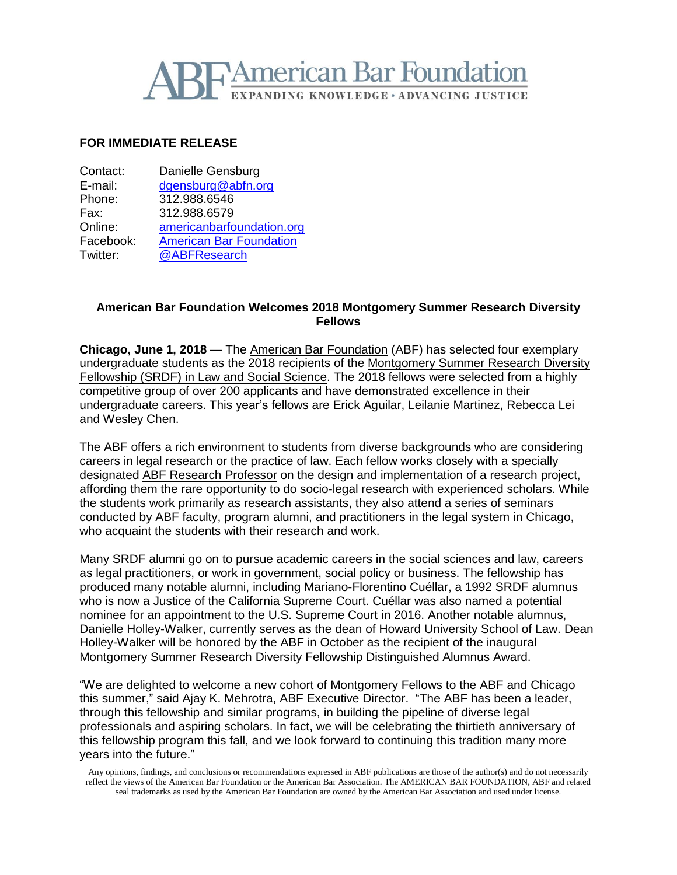

#### **FOR IMMEDIATE RELEASE**

| Contact:  | Danielle Gensburg              |
|-----------|--------------------------------|
| E-mail:   | dgensburg@abfn.org             |
| Phone:    | 312.988.6546                   |
| Fax:      | 312.988.6579                   |
| Online:   | americanbarfoundation.org      |
| Facebook: | <b>American Bar Foundation</b> |
| Twitter:  | @ABFResearch                   |

## **American Bar Foundation Welcomes 2018 Montgomery Summer Research Diversity Fellows**

**Chicago, June 1, 2018** — The American Bar [Foundation](http://www.americanbarfoundation.org/index.html) (ABF) has selected four exemplary undergraduate students as the 2018 recipients of the [Montgomery](http://www.americanbarfoundation.org/research/Fellowshipopportunities/SummerResearchDiversityFellowshipsinLawandSocialScience.html) Summer Research Diversity [Fellowship](http://www.americanbarfoundation.org/research/Fellowshipopportunities/SummerResearchDiversityFellowshipsinLawandSocialScience.html) (SRDF) in Law and Social Science. The 2018 fellows were selected from a highly competitive group of over 200 applicants and have demonstrated excellence in their undergraduate careers. This year's fellows are Erick Aguilar, Leilanie Martinez, Rebecca Lei and Wesley Chen.

The ABF offers a rich environment to students from diverse backgrounds who are considering careers in legal research or the practice of law. Each fellow works closely with a specially designated ABF Research [Professor](http://www.americanbarfoundation.org/faculty/ResearchCommunity/Research_Professors.html) on the design and implementation of a research project, affording them the rare opportunity to do socio-legal [research](http://www.americanbarfoundation.org/research/index.html) with experienced scholars. While the students work primarily as research assistants, they also attend a series of [seminars](http://www.americanbarfoundation.org/events/category/1) conducted by ABF faculty, program alumni, and practitioners in the legal system in Chicago, who acquaint the students with their research and work.

Many SRDF alumni go on to pursue academic careers in the social sciences and law, careers as legal practitioners, or work in government, social policy or business. The fellowship has produced many notable alumni, including [Mariano-Florentino](http://www.courts.ca.gov/28724.htm) Cuéllar, a 1992 SRDF [alumnus](https://www.youtube.com/watch?v=3U2zE1h9ZO0) who is now a Justice of the California Supreme Court. Cuéllar was also named a potential nominee for an appointment to the U.S. Supreme Court in 2016. Another notable alumnus, Danielle Holley-Walker, currently serves as the dean of Howard University School of Law. Dean Holley-Walker will be honored by the ABF in October as the recipient of the inaugural Montgomery Summer Research Diversity Fellowship Distinguished Alumnus Award.

"We are delighted to welcome a new cohort of Montgomery Fellows to the ABF and Chicago this summer," said Ajay K. Mehrotra, ABF Executive Director. "The ABF has been a leader, through this fellowship and similar programs, in building the pipeline of diverse legal professionals and aspiring scholars. In fact, we will be celebrating the thirtieth anniversary of this fellowship program this fall, and we look forward to continuing this tradition many more years into the future."

Any opinions, findings, and conclusions or recommendations expressed in ABF publications are those of the author(s) and do not necessarily reflect the views of the American Bar Foundation or the American Bar Association. The AMERICAN BAR FOUNDATION, ABF and related seal trademarks as used by the American Bar Foundation are owned by the American Bar Association and used under license.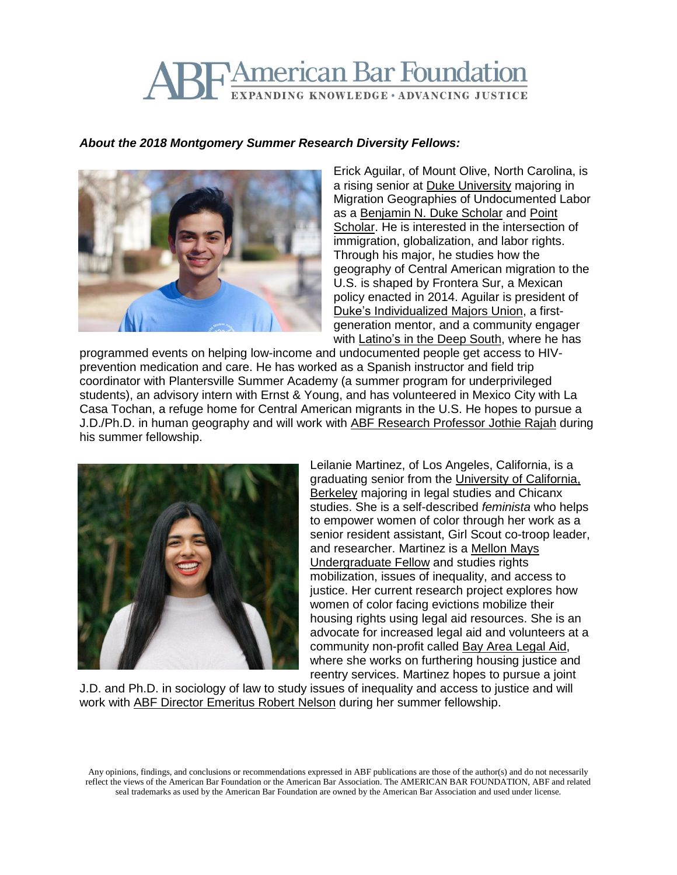# **TAmerican Bar Foundation** EXPANDING KNOWLEDGE · ADVANCING JUSTICE

#### *About the 2018 Montgomery Summer Research Diversity Fellows:*



Erick Aguilar, of Mount Olive, North Carolina, is a rising senior at Duke [University](https://www.duke.edu/) majoring in Migration Geographies of Undocumented Labor as a [Benjamin](https://dukescholars.site-ym.com/page/BNDuke?) N. Duke Scholar and [Point](https://pointfoundation.org/point-apply/meet-our-scholars/) [Scholar.](https://pointfoundation.org/point-apply/meet-our-scholars/) He is interested in the intersection of immigration, globalization, and labor rights. Through his major, he studies how the geography of Central American migration to the U.S. is shaped by Frontera Sur, a Mexican policy enacted in 2014. Aguilar is president of Duke's [Individualized](http://program2.duke.edu/) Majors Union, a firstgeneration mentor, and a community engager with **[Latino's](https://latinoaids.org/programs/deepsouth/) in the Deep South**, where he has

programmed events on helping low-income and undocumented people get access to HIVprevention medication and care. He has worked as a Spanish instructor and field trip coordinator with Plantersville Summer Academy (a summer program for underprivileged students), an advisory intern with Ernst & Young, and has volunteered in Mexico City with La Casa Tochan, a refuge home for Central American migrants in the U.S. He hopes to pursue a J.D./Ph.D. in human geography and will work with ABF [Research](http://www.americanbarfoundation.org/faculty/profile/28) Professor Jothie Rajah during his summer fellowship.



Leilanie Martinez, of Los Angeles, California, is a graduating senior from the University of [California,](https://www.berkeley.edu/) [Berkeley](https://www.berkeley.edu/) majoring in legal studies and Chicanx studies. She is a self-described *feminista* who helps to empower women of color through her work as a senior resident assistant, Girl Scout co-troop leader, and researcher. Martinez is a [Mellon](http://www.mmuf.org/) Mays [Undergraduate](http://www.mmuf.org/) Fellow and studies rights mobilization, issues of inequality, and access to justice. Her current research project explores how women of color facing evictions mobilize their housing rights using legal aid resources. She is an advocate for increased legal aid and volunteers at a community non-profit called Bay Area [Legal](https://baylegal.org/) Aid, where she works on furthering housing justice and reentry services. Martinez hopes to pursue a joint

J.D. and Ph.D. in sociology of law to study issues of inequality and access to justice and will work with ABF Director [Emeritus](http://www.americanbarfoundation.org/faculty/profile/19) Robert Nelson during her summer fellowship.

Any opinions, findings, and conclusions or recommendations expressed in ABF publications are those of the author(s) and do not necessarily reflect the views of the American Bar Foundation or the American Bar Association. The AMERICAN BAR FOUNDATION, ABF and related seal trademarks as used by the American Bar Foundation are owned by the American Bar Association and used under license.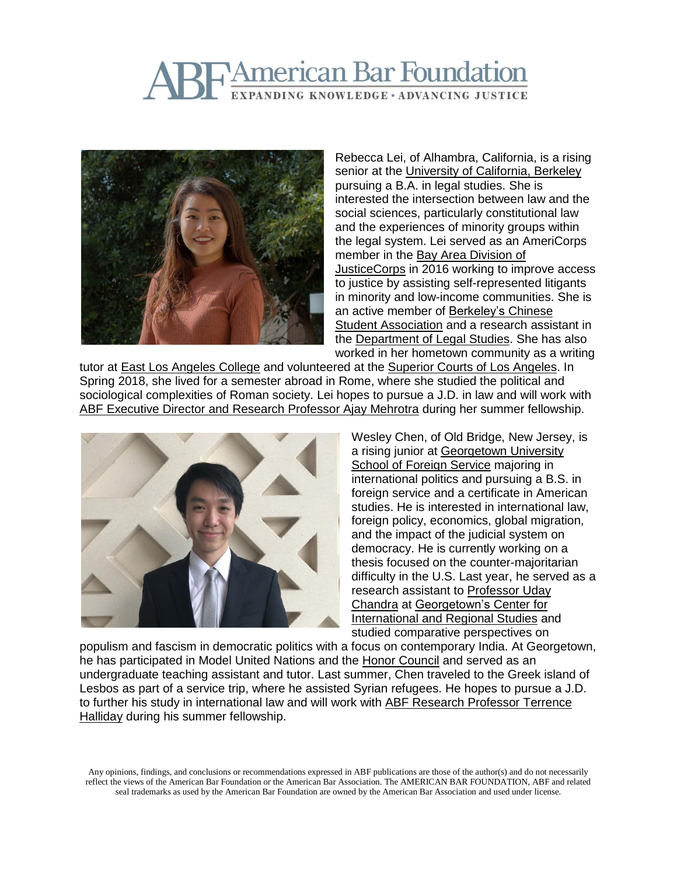## **TAmerican Bar Foundation** EXPANDING KNOWLEDGE · ADVANCING JUSTICE



Rebecca Lei, of Alhambra, California, is a rising senior at the University of [California,](https://www.berkeley.edu/) Berkeley pursuing a B.A. in legal studies. She is interested the intersection between law and the social sciences, particularly constitutional law and the experiences of minority groups within the legal system. Lei served as an AmeriCorps member in the Bay Area [Division](https://www.bayareajusticecorps.org/) of [JusticeCorps](https://www.bayareajusticecorps.org/) in 2016 working to improve access to justice by assisting self-represented litigants in minority and low-income communities. She is an active member of [Berkeley's](https://csa.berkeley.edu/) Chinese Student [Association](https://csa.berkeley.edu/) and a research assistant in the [Department](http://legalstudies.berkeley.edu/) of Legal Studies. She has also worked in her hometown community as a writing

tutor at East Los [Angeles](http://www.elac.edu/) College and volunteered at the Superior Courts of Los [Angeles.](http://www.lacourt.org/) In Spring 2018, she lived for a semester abroad in Rome, where she studied the political and sociological complexities of Roman society. Lei hopes to pursue a J.D. in law and will work with ABF [Executive](http://www.americanbarfoundation.org/faculty/profile/46) Director and Research Professor Ajay Mehrotra during her summer fellowship.



Wesley Chen, of Old Bridge, New Jersey, is a rising junior at [Georgetown](https://sfs.georgetown.edu/) University School of [Foreign](https://sfs.georgetown.edu/) Service majoring in international politics and pursuing a B.S. in foreign service and a certificate in American studies. He is interested in international law, foreign policy, economics, global migration, and the impact of the judicial system on democracy. He is currently working on a thesis focused on the counter-majoritarian difficulty in the U.S. Last year, he served as a research assistant to [Professor](https://www.qatar.georgetown.edu/profile/uday-chandra) Uday [Chandra](https://www.qatar.georgetown.edu/profile/uday-chandra) at [Georgetown's](https://cirs.georgetown.edu/) Center for [International](https://cirs.georgetown.edu/) and Regional Studies and studied comparative perspectives on

populism and fascism in democratic politics with a focus on contemporary India. At Georgetown, he has participated in Model United Nations and the Honor [Council](https://honorcouncil.georgetown.edu/) and served as an undergraduate teaching assistant and tutor. Last summer, Chen traveled to the Greek island of Lesbos as part of a service trip, where he assisted Syrian refugees. He hopes to pursue a J.D. to further his study in international law and will work with ABF Research [Professor](http://www.americanbarfoundation.org/faculty/profile/10) Terrence [Halliday](http://www.americanbarfoundation.org/faculty/profile/10) during his summer fellowship.

Any opinions, findings, and conclusions or recommendations expressed in ABF publications are those of the author(s) and do not necessarily reflect the views of the American Bar Foundation or the American Bar Association. The AMERICAN BAR FOUNDATION, ABF and related seal trademarks as used by the American Bar Foundation are owned by the American Bar Association and used under license.